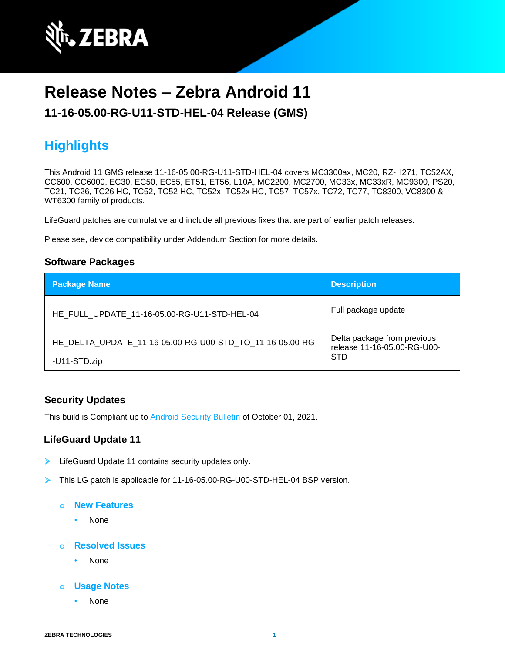

# **Release Notes – Zebra Android 11**

**11-16-05.00-RG-U11-STD-HEL-04 Release (GMS)**

# **Highlights**

This Android 11 GMS release 11-16-05.00-RG-U11-STD-HEL-04 covers MC3300ax, MC20, RZ-H271, TC52AX, CC600, CC6000, EC30, EC50, EC55, ET51, ET56, L10A, MC2200, MC2700, MC33x, MC33xR, MC9300, PS20, TC21, TC26, TC26 HC, TC52, TC52 HC, TC52x, TC52x HC, TC57, TC57x, TC72, TC77, TC8300, VC8300 & WT6300 family of products.

LifeGuard patches are cumulative and include all previous fixes that are part of earlier patch releases.

Please see, device compatibility under Addendum Section for more details.

#### **Software Packages**

| <b>Package Name</b>                                                      | <b>Description</b>                                                       |
|--------------------------------------------------------------------------|--------------------------------------------------------------------------|
| HE FULL UPDATE 11-16-05.00-RG-U11-STD-HEL-04                             | Full package update                                                      |
| HE DELTA UPDATE 11-16-05.00-RG-U00-STD TO 11-16-05.00-RG<br>-U11-STD.zip | Delta package from previous<br>release 11-16-05.00-RG-U00-<br><b>STD</b> |

#### **Security Updates**

This build is Compliant up to [Android Security Bulletin](https://source.android.com/security/bulletin/) of October 01, 2021.

#### **LifeGuard Update 11**

- LifeGuard Update 11 contains security updates only.
- ➢ This LG patch is applicable for 11-16-05.00-RG-U00-STD-HEL-04 BSP version.

#### **o New Features**

- None
- **o Resolved Issues**
	- None
- **o Usage Notes**
	- None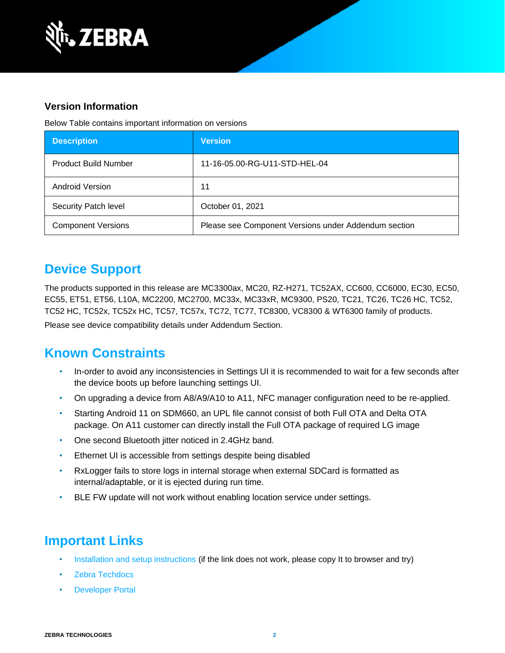

#### **Version Information**

Below Table contains important information on versions

| <b>Description</b>          | <b>Version</b>                                       |
|-----------------------------|------------------------------------------------------|
| <b>Product Build Number</b> | 11-16-05.00-RG-U11-STD-HEL-04                        |
| <b>Android Version</b>      | 11                                                   |
| Security Patch level        | October 01, 2021                                     |
| <b>Component Versions</b>   | Please see Component Versions under Addendum section |

### **Device Support**

The products supported in this release are MC3300ax, MC20, RZ-H271, TC52AX, CC600, CC6000, EC30, EC50, EC55, ET51, ET56, L10A, MC2200, MC2700, MC33x, MC33xR, MC9300, PS20, TC21, TC26, TC26 HC, TC52, TC52 HC, TC52x, TC52x HC, TC57, TC57x, TC72, TC77, TC8300, VC8300 & WT6300 family of products. Please see device compatibility details under Addendum Section.

### **Known Constraints**

- In-order to avoid any inconsistencies in Settings UI it is recommended to wait for a few seconds after the device boots up before launching settings UI.
- On upgrading a device from A8/A9/A10 to A11, NFC manager configuration need to be re-applied.
- Starting Android 11 on SDM660, an UPL file cannot consist of both Full OTA and Delta OTA package. On A11 customer can directly install the Full OTA package of required LG image
- One second Bluetooth jitter noticed in 2.4GHz band.
- Ethernet UI is accessible from settings despite being disabled
- RxLogger fails to store logs in internal storage when external SDCard is formatted as internal/adaptable, or it is ejected during run time.
- BLE FW update will not work without enabling location service under settings.

### **Important Links**

- [Installation and setup instructions](https://www.zebra.com/content/dam/zebra_new_ia/en-us/software/operating-system/helios/A11-os-update-instructions.pdf) (if the link does not work, please copy It to browser and try)
- [Zebra Techdocs](http://techdocs.zebra.com/)
- **[Developer Portal](http://developer.zebra.com/)**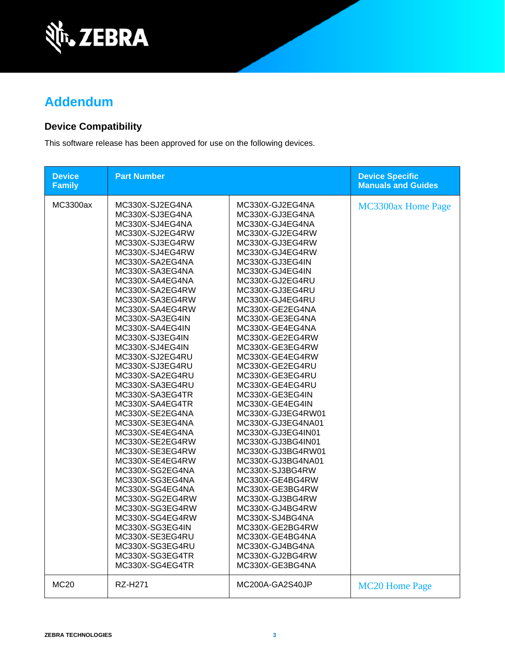

## **Addendum**

### **Device Compatibility**

This software release has been approved for use on the following devices.

| <b>Device</b><br><b>Family</b> | <b>Part Number</b>                                                                                                                                                                                                                                                                                                                                                                                                                                                                                                                                                                                                                                                                                                                                                |                                                                                                                                                                                                                                                                                                                                                                                                                                                                                                                                                                                                                                                                                                                                                                               | <b>Device Specific</b><br><b>Manuals and Guides</b> |
|--------------------------------|-------------------------------------------------------------------------------------------------------------------------------------------------------------------------------------------------------------------------------------------------------------------------------------------------------------------------------------------------------------------------------------------------------------------------------------------------------------------------------------------------------------------------------------------------------------------------------------------------------------------------------------------------------------------------------------------------------------------------------------------------------------------|-------------------------------------------------------------------------------------------------------------------------------------------------------------------------------------------------------------------------------------------------------------------------------------------------------------------------------------------------------------------------------------------------------------------------------------------------------------------------------------------------------------------------------------------------------------------------------------------------------------------------------------------------------------------------------------------------------------------------------------------------------------------------------|-----------------------------------------------------|
| MC3300ax                       | MC330X-SJ2EG4NA<br>MC330X-SJ3EG4NA<br>MC330X-SJ4EG4NA<br>MC330X-SJ2EG4RW<br>MC330X-SJ3EG4RW<br>MC330X-SJ4EG4RW<br>MC330X-SA2EG4NA<br>MC330X-SA3EG4NA<br>MC330X-SA4EG4NA<br>MC330X-SA2EG4RW<br>MC330X-SA3EG4RW<br>MC330X-SA4EG4RW<br>MC330X-SA3EG4IN<br>MC330X-SA4EG4IN<br>MC330X-SJ3EG4IN<br>MC330X-SJ4EG4IN<br>MC330X-SJ2EG4RU<br>MC330X-SJ3EG4RU<br>MC330X-SA2EG4RU<br>MC330X-SA3EG4RU<br>MC330X-SA3EG4TR<br>MC330X-SA4EG4TR<br>MC330X-SE2EG4NA<br>MC330X-SE3EG4NA<br>MC330X-SE4EG4NA<br>MC330X-SE2EG4RW<br>MC330X-SE3EG4RW<br>MC330X-SE4EG4RW<br>MC330X-SG2EG4NA<br>MC330X-SG3EG4NA<br>MC330X-SG4EG4NA<br>MC330X-SG2EG4RW<br>MC330X-SG3EG4RW<br>MC330X-SG4EG4RW<br>MC330X-SG3EG4IN<br>MC330X-SE3EG4RU<br>MC330X-SG3EG4RU<br>MC330X-SG3EG4TR<br>MC330X-SG4EG4TR | MC330X-GJ2EG4NA<br>MC330X-GJ3EG4NA<br>MC330X-GJ4EG4NA<br>MC330X-GJ2EG4RW<br>MC330X-GJ3EG4RW<br>MC330X-GJ4EG4RW<br>MC330X-GJ3EG4IN<br>MC330X-GJ4EG4IN<br>MC330X-GJ2EG4RU<br>MC330X-GJ3EG4RU<br>MC330X-GJ4EG4RU<br>MC330X-GE2EG4NA<br>MC330X-GE3EG4NA<br>MC330X-GE4EG4NA<br>MC330X-GE2EG4RW<br>MC330X-GE3EG4RW<br>MC330X-GE4EG4RW<br>MC330X-GE2EG4RU<br>MC330X-GE3EG4RU<br>MC330X-GE4EG4RU<br>MC330X-GE3EG4IN<br>MC330X-GE4EG4IN<br>MC330X-GJ3EG4RW01<br>MC330X-GJ3EG4NA01<br>MC330X-GJ3EG4IN01<br>MC330X-GJ3BG4IN01<br>MC330X-GJ3BG4RW01<br>MC330X-GJ3BG4NA01<br>MC330X-SJ3BG4RW<br>MC330X-GE4BG4RW<br>MC330X-GE3BG4RW<br>MC330X-GJ3BG4RW<br>MC330X-GJ4BG4RW<br>MC330X-SJ4BG4NA<br>MC330X-GE2BG4RW<br>MC330X-GE4BG4NA<br>MC330X-GJ4BG4NA<br>MC330X-GJ2BG4RW<br>MC330X-GE3BG4NA | MC3300ax Home Page                                  |
| <b>MC20</b>                    | <b>RZ-H271</b>                                                                                                                                                                                                                                                                                                                                                                                                                                                                                                                                                                                                                                                                                                                                                    | MC200A-GA2S40JP                                                                                                                                                                                                                                                                                                                                                                                                                                                                                                                                                                                                                                                                                                                                                               | <b>MC20 Home Page</b>                               |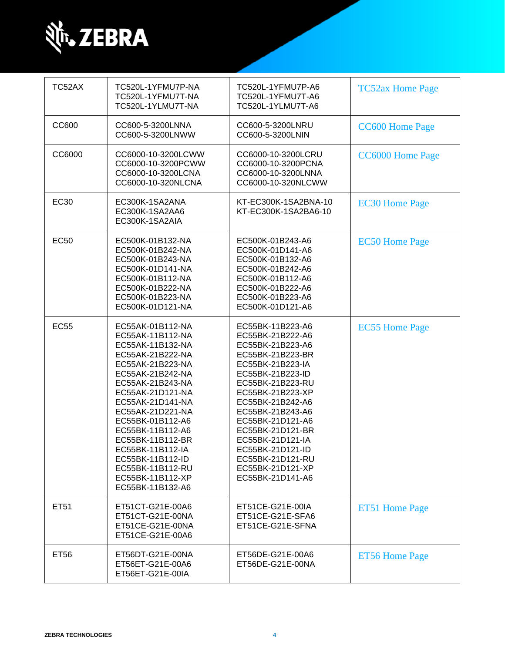

| TC52AX      | TC520L-1YFMU7P-NA<br>TC520L-1YFMU7T-NA<br>TC520L-1YLMU7T-NA                                                                                                                                                                                                                                                                                                          | TC520L-1YFMU7P-A6<br>TC520L-1YFMU7T-A6<br>TC520L-1YLMU7T-A6                                                                                                                                                                                                                                                                                      | <b>TC52ax Home Page</b> |
|-------------|----------------------------------------------------------------------------------------------------------------------------------------------------------------------------------------------------------------------------------------------------------------------------------------------------------------------------------------------------------------------|--------------------------------------------------------------------------------------------------------------------------------------------------------------------------------------------------------------------------------------------------------------------------------------------------------------------------------------------------|-------------------------|
| CC600       | CC600-5-3200LNNA<br>CC600-5-3200LNWW                                                                                                                                                                                                                                                                                                                                 | CC600-5-3200LNRU<br>CC600-5-3200LNIN                                                                                                                                                                                                                                                                                                             | <b>CC600 Home Page</b>  |
| CC6000      | CC6000-10-3200LCWW<br>CC6000-10-3200PCWW<br>CC6000-10-3200LCNA<br>CC6000-10-320NLCNA                                                                                                                                                                                                                                                                                 | CC6000-10-3200LCRU<br>CC6000-10-3200PCNA<br>CC6000-10-3200LNNA<br>CC6000-10-320NLCWW                                                                                                                                                                                                                                                             | <b>CC6000 Home Page</b> |
| <b>EC30</b> | EC300K-1SA2ANA<br>EC300K-1SA2AA6<br>EC300K-1SA2AIA                                                                                                                                                                                                                                                                                                                   | KT-EC300K-1SA2BNA-10<br>KT-EC300K-1SA2BA6-10                                                                                                                                                                                                                                                                                                     | <b>EC30 Home Page</b>   |
| <b>EC50</b> | EC500K-01B132-NA<br>EC500K-01B242-NA<br>EC500K-01B243-NA<br>EC500K-01D141-NA<br>EC500K-01B112-NA<br>EC500K-01B222-NA<br>EC500K-01B223-NA<br>EC500K-01D121-NA                                                                                                                                                                                                         | EC500K-01B243-A6<br>EC500K-01D141-A6<br>EC500K-01B132-A6<br>EC500K-01B242-A6<br>EC500K-01B112-A6<br>EC500K-01B222-A6<br>EC500K-01B223-A6<br>EC500K-01D121-A6                                                                                                                                                                                     | <b>EC50 Home Page</b>   |
| <b>EC55</b> | EC55AK-01B112-NA<br>EC55AK-11B112-NA<br>EC55AK-11B132-NA<br>EC55AK-21B222-NA<br>EC55AK-21B223-NA<br>EC55AK-21B242-NA<br>EC55AK-21B243-NA<br>EC55AK-21D121-NA<br>EC55AK-21D141-NA<br>EC55AK-21D221-NA<br>EC55BK-01B112-A6<br>EC55BK-11B112-A6<br>EC55BK-11B112-BR<br>EC55BK-11B112-IA<br>EC55BK-11B112-ID<br>EC55BK-11B112-RU<br>EC55BK-11B112-XP<br>EC55BK-11B132-A6 | EC55BK-11B223-A6<br>EC55BK-21B222-A6<br>EC55BK-21B223-A6<br>EC55BK-21B223-BR<br>EC55BK-21B223-IA<br>EC55BK-21B223-ID<br>EC55BK-21B223-RU<br>EC55BK-21B223-XP<br>EC55BK-21B242-A6<br>EC55BK-21B243-A6<br>EC55BK-21D121-A6<br>EC55BK-21D121-BR<br>EC55BK-21D121-IA<br>EC55BK-21D121-ID<br>EC55BK-21D121-RU<br>EC55BK-21D121-XP<br>EC55BK-21D141-A6 | <b>EC55 Home Page</b>   |
| ET51        | ET51CT-G21E-00A6<br>ET51CT-G21E-00NA<br>ET51CE-G21E-00NA<br>ET51CE-G21E-00A6                                                                                                                                                                                                                                                                                         | ET51CE-G21E-00IA<br>ET51CE-G21E-SFA6<br>ET51CE-G21E-SFNA                                                                                                                                                                                                                                                                                         | ET51 Home Page          |
| ET56        | ET56DT-G21E-00NA<br>ET56ET-G21E-00A6<br>ET56ET-G21E-00IA                                                                                                                                                                                                                                                                                                             | ET56DE-G21E-00A6<br>ET56DE-G21E-00NA                                                                                                                                                                                                                                                                                                             | <b>ET56 Home Page</b>   |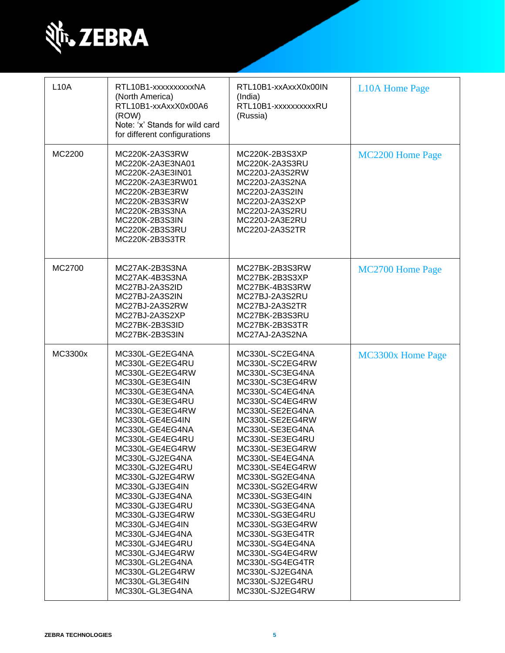

| <b>L10A</b> | RTL10B1-xxxxxxxxxXNA<br>(North America)<br>RTL10B1-xxAxxX0x00A6<br>(ROW)<br>Note: 'x' Stands for wild card<br>for different configurations                                                                                                                                                                                                                                                                                                                                                                 | RTL10B1-xxAxxX0x00IN<br>(India)<br>RTL10B1-xxxxxxxxxRU<br>(Russia)                                                                                                                                                                                                                                                                                                                                                                                                                                         | <b>L10A Home Page</b> |
|-------------|------------------------------------------------------------------------------------------------------------------------------------------------------------------------------------------------------------------------------------------------------------------------------------------------------------------------------------------------------------------------------------------------------------------------------------------------------------------------------------------------------------|------------------------------------------------------------------------------------------------------------------------------------------------------------------------------------------------------------------------------------------------------------------------------------------------------------------------------------------------------------------------------------------------------------------------------------------------------------------------------------------------------------|-----------------------|
| MC2200      | MC220K-2A3S3RW<br>MC220K-2A3E3NA01<br>MC220K-2A3E3IN01<br>MC220K-2A3E3RW01<br>MC220K-2B3E3RW<br>MC220K-2B3S3RW<br>MC220K-2B3S3NA<br>MC220K-2B3S3IN<br>MC220K-2B3S3RU<br>MC220K-2B3S3TR                                                                                                                                                                                                                                                                                                                     | MC220K-2B3S3XP<br>MC220K-2A3S3RU<br>MC220J-2A3S2RW<br>MC220J-2A3S2NA<br>MC220J-2A3S2IN<br>MC220J-2A3S2XP<br>MC220J-2A3S2RU<br>MC220J-2A3E2RU<br>MC220J-2A3S2TR                                                                                                                                                                                                                                                                                                                                             | MC2200 Home Page      |
| MC2700      | MC27AK-2B3S3NA<br>MC27AK-4B3S3NA<br>MC27BJ-2A3S2ID<br>MC27BJ-2A3S2IN<br>MC27BJ-2A3S2RW<br>MC27BJ-2A3S2XP<br>MC27BK-2B3S3ID<br>MC27BK-2B3S3IN                                                                                                                                                                                                                                                                                                                                                               | MC27BK-2B3S3RW<br>MC27BK-2B3S3XP<br>MC27BK-4B3S3RW<br>MC27BJ-2A3S2RU<br>MC27BJ-2A3S2TR<br>MC27BK-2B3S3RU<br>MC27BK-2B3S3TR<br>MC27AJ-2A3S2NA                                                                                                                                                                                                                                                                                                                                                               | MC2700 Home Page      |
| MC3300x     | MC330L-GE2EG4NA<br>MC330L-GE2EG4RU<br>MC330L-GE2EG4RW<br>MC330L-GE3EG4IN<br>MC330L-GE3EG4NA<br>MC330L-GE3EG4RU<br>MC330L-GE3EG4RW<br>MC330L-GE4EG4IN<br>MC330L-GE4EG4NA<br>MC330L-GE4EG4RU<br>MC330L-GE4EG4RW<br>MC330L-GJ2EG4NA<br>MC330L-GJ2EG4RU<br>MC330L-GJ2EG4RW<br>MC330L-GJ3EG4IN<br>MC330L-GJ3EG4NA<br>MC330L-GJ3EG4RU<br>MC330L-GJ3EG4RW<br>MC330L-GJ4EG4IN<br>MC330L-GJ4EG4NA<br>MC330L-GJ4EG4RU<br>MC330L-GJ4EG4RW<br>MC330L-GL2EG4NA<br>MC330L-GL2EG4RW<br>MC330L-GL3EG4IN<br>MC330L-GL3EG4NA | MC330L-SC2EG4NA<br>MC330L-SC2EG4RW<br>MC330L-SC3EG4NA<br>MC330L-SC3EG4RW<br>MC330L-SC4EG4NA<br>MC330L-SC4EG4RW<br>MC330L-SE2EG4NA<br>MC330L-SE2EG4RW<br>MC330L-SE3EG4NA<br>MC330L-SE3EG4RU<br>MC330L-SE3EG4RW<br>MC330L-SE4EG4NA<br>MC330L-SE4EG4RW<br>MC330L-SG2EG4NA<br>MC330L-SG2EG4RW<br>MC330L-SG3EG4IN<br>MC330L-SG3EG4NA<br>MC330L-SG3EG4RU<br>MC330L-SG3EG4RW<br>MC330L-SG3EG4TR<br>MC330L-SG4EG4NA<br>MC330L-SG4EG4RW<br>MC330L-SG4EG4TR<br>MC330L-SJ2EG4NA<br>MC330L-SJ2EG4RU<br>MC330L-SJ2EG4RW | MC3300x Home Page     |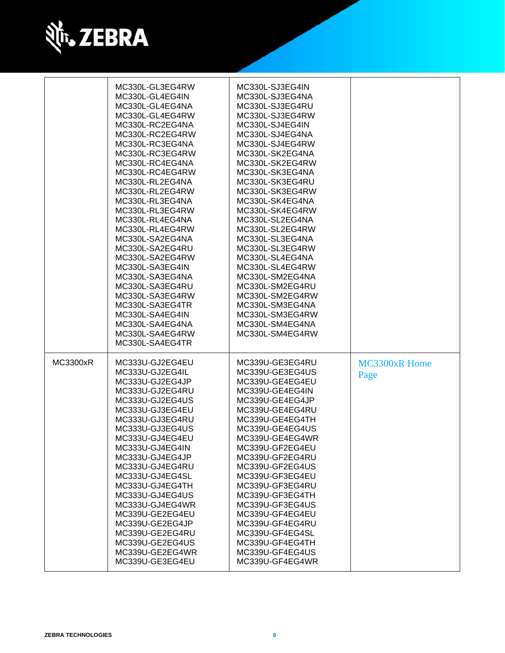

|          | MC330L-GL3EG4RW<br>MC330L-GL4EG4IN<br>MC330L-GL4EG4NA<br>MC330L-GL4EG4RW<br>MC330L-RC2EG4NA<br>MC330L-RC2EG4RW<br>MC330L-RC3EG4NA<br>MC330L-RC3EG4RW<br>MC330L-RC4EG4NA<br>MC330L-RC4EG4RW<br>MC330L-RL2EG4NA<br>MC330L-RL2EG4RW<br>MC330L-RL3EG4NA<br>MC330L-RL3EG4RW<br>MC330L-RL4EG4NA<br>MC330L-RL4EG4RW<br>MC330L-SA2EG4NA<br>MC330L-SA2EG4RU<br>MC330L-SA2EG4RW<br>MC330L-SA3EG4IN<br>MC330L-SA3EG4NA<br>MC330L-SA3EG4RU<br>MC330L-SA3EG4RW<br>MC330L-SA3EG4TR<br>MC330L-SA4EG4IN<br>MC330L-SA4EG4NA<br>MC330L-SA4EG4RW<br>MC330L-SA4EG4TR | MC330L-SJ3EG4IN<br>MC330L-SJ3EG4NA<br>MC330L-SJ3EG4RU<br>MC330L-SJ3EG4RW<br>MC330L-SJ4EG4IN<br>MC330L-SJ4EG4NA<br>MC330L-SJ4EG4RW<br>MC330L-SK2EG4NA<br>MC330L-SK2EG4RW<br>MC330L-SK3EG4NA<br>MC330L-SK3EG4RU<br>MC330L-SK3EG4RW<br>MC330L-SK4EG4NA<br>MC330L-SK4EG4RW<br>MC330L-SL2EG4NA<br>MC330L-SL2EG4RW<br>MC330L-SL3EG4NA<br>MC330L-SL3EG4RW<br>MC330L-SL4EG4NA<br>MC330L-SL4EG4RW<br>MC330L-SM2EG4NA<br>MC330L-SM2EG4RU<br>MC330L-SM2EG4RW<br>MC330L-SM3EG4NA<br>MC330L-SM3EG4RW<br>MC330L-SM4EG4NA<br>MC330L-SM4EG4RW |                       |
|----------|--------------------------------------------------------------------------------------------------------------------------------------------------------------------------------------------------------------------------------------------------------------------------------------------------------------------------------------------------------------------------------------------------------------------------------------------------------------------------------------------------------------------------------------------------|-------------------------------------------------------------------------------------------------------------------------------------------------------------------------------------------------------------------------------------------------------------------------------------------------------------------------------------------------------------------------------------------------------------------------------------------------------------------------------------------------------------------------------|-----------------------|
| MC3300xR | MC333U-GJ2EG4EU<br>MC333U-GJ2EG4IL<br>MC333U-GJ2EG4JP<br>MC333U-GJ2EG4RU<br>MC333U-GJ2EG4US<br>MC333U-GJ3EG4EU<br>MC333U-GJ3EG4RU<br>MC333U-GJ3EG4US<br>MC333U-GJ4EG4EU<br>MC333U-GJ4EG4IN<br>MC333U-GJ4EG4JP<br>MC333U-GJ4EG4RU<br>MC333U-GJ4EG4SL<br>MC333U-GJ4EG4TH<br>MC333U-GJ4EG4US<br>MC333U-GJ4EG4WR<br>MC339U-GE2EG4EU<br>MC339U-GE2EG4JP<br>MC339U-GE2EG4RU<br>MC339U-GE2EG4US<br>MC339U-GE2EG4WR<br>MC339U-GE3EG4EU                                                                                                                   | MC339U-GE3EG4RU<br>MC339U-GE3EG4US<br>MC339U-GE4EG4EU<br>MC339U-GE4EG4IN<br>MC339U-GE4EG4JP<br>MC339U-GE4EG4RU<br>MC339U-GE4EG4TH<br>MC339U-GE4EG4US<br>MC339U-GE4EG4WR<br>MC339U-GF2EG4EU<br>MC339U-GF2EG4RU<br>MC339U-GF2EG4US<br>MC339U-GF3EG4EU<br>MC339U-GF3EG4RU<br>MC339U-GF3EG4TH<br>MC339U-GF3EG4US<br>MC339U-GF4EG4EU<br>MC339U-GF4EG4RU<br>MC339U-GF4EG4SL<br>MC339U-GF4EG4TH<br>MC339U-GF4EG4US<br>MC339U-GF4EG4WR                                                                                                | MC3300xR Home<br>Page |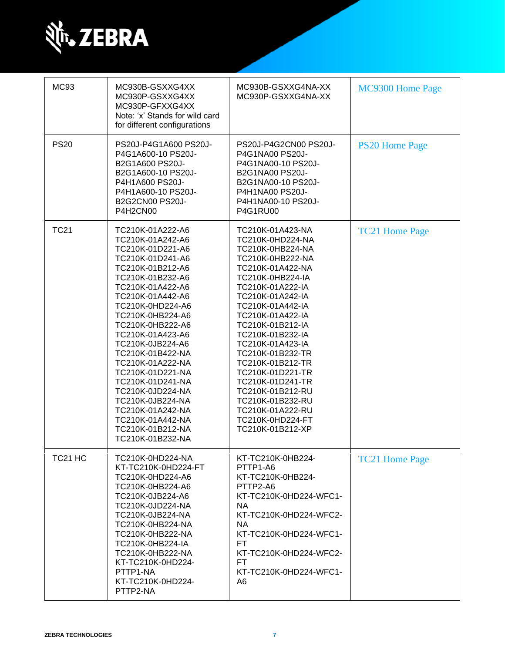

| <b>MC93</b>         | MC930B-GSXXG4XX<br>MC930P-GSXXG4XX<br>MC930P-GFXXG4XX<br>Note: 'x' Stands for wild card<br>for different configurations                                                                                                                                                                                                                                                                                                                                                  | MC930B-GSXXG4NA-XX<br>MC930P-GSXXG4NA-XX                                                                                                                                                                                                                                                                                                                                                                                                             | MC9300 Home Page      |
|---------------------|--------------------------------------------------------------------------------------------------------------------------------------------------------------------------------------------------------------------------------------------------------------------------------------------------------------------------------------------------------------------------------------------------------------------------------------------------------------------------|------------------------------------------------------------------------------------------------------------------------------------------------------------------------------------------------------------------------------------------------------------------------------------------------------------------------------------------------------------------------------------------------------------------------------------------------------|-----------------------|
| <b>PS20</b>         | PS20J-P4G1A600 PS20J-<br>P4G1A600-10 PS20J-<br>B2G1A600 PS20J-<br>B2G1A600-10 PS20J-<br>P4H1A600 PS20J-<br>P4H1A600-10 PS20J-<br>B2G2CN00 PS20J-<br>P4H2CN00                                                                                                                                                                                                                                                                                                             | PS20J-P4G2CN00 PS20J-<br>P4G1NA00 PS20J-<br>P4G1NA00-10 PS20J-<br><b>B2G1NA00 PS20J-</b><br>B2G1NA00-10 PS20J-<br>P4H1NA00 PS20J-<br>P4H1NA00-10 PS20J-<br><b>P4G1RU00</b>                                                                                                                                                                                                                                                                           | <b>PS20 Home Page</b> |
| <b>TC21</b>         | TC210K-01A222-A6<br>TC210K-01A242-A6<br>TC210K-01D221-A6<br>TC210K-01D241-A6<br>TC210K-01B212-A6<br>TC210K-01B232-A6<br>TC210K-01A422-A6<br>TC210K-01A442-A6<br>TC210K-0HD224-A6<br>TC210K-0HB224-A6<br>TC210K-0HB222-A6<br>TC210K-01A423-A6<br>TC210K-0JB224-A6<br>TC210K-01B422-NA<br>TC210K-01A222-NA<br>TC210K-01D221-NA<br>TC210K-01D241-NA<br>TC210K-0JD224-NA<br>TC210K-0JB224-NA<br>TC210K-01A242-NA<br>TC210K-01A442-NA<br>TC210K-01B212-NA<br>TC210K-01B232-NA | TC210K-01A423-NA<br>TC210K-0HD224-NA<br>TC210K-0HB224-NA<br>TC210K-0HB222-NA<br>TC210K-01A422-NA<br>TC210K-0HB224-IA<br>TC210K-01A222-IA<br>TC210K-01A242-IA<br>TC210K-01A442-IA<br>TC210K-01A422-IA<br>TC210K-01B212-IA<br>TC210K-01B232-IA<br>TC210K-01A423-IA<br>TC210K-01B232-TR<br>TC210K-01B212-TR<br>TC210K-01D221-TR<br>TC210K-01D241-TR<br>TC210K-01B212-RU<br>TC210K-01B232-RU<br>TC210K-01A222-RU<br>TC210K-0HD224-FT<br>TC210K-01B212-XP | <b>TC21 Home Page</b> |
| TC <sub>21</sub> HC | TC210K-0HD224-NA<br>KT-TC210K-0HD224-FT<br>TC210K-0HD224-A6<br>TC210K-0HB224-A6<br>TC210K-0JB224-A6<br>TC210K-0JD224-NA<br>TC210K-0JB224-NA<br>TC210K-0HB224-NA<br>TC210K-0HB222-NA<br>TC210K-0HB224-IA<br>TC210K-0HB222-NA<br>KT-TC210K-0HD224-<br>PTTP1-NA<br>KT-TC210K-0HD224-<br>PTTP2-NA                                                                                                                                                                            | KT-TC210K-0HB224-<br>PTTP1-A6<br>KT-TC210K-0HB224-<br>PTTP2-A6<br>KT-TC210K-0HD224-WFC1-<br>NA.<br>KT-TC210K-0HD224-WFC2-<br><b>NA</b><br>KT-TC210K-0HD224-WFC1-<br>FT<br>KT-TC210K-0HD224-WFC2-<br>FT.<br>KT-TC210K-0HD224-WFC1-<br>A6                                                                                                                                                                                                              | <b>TC21 Home Page</b> |

Ш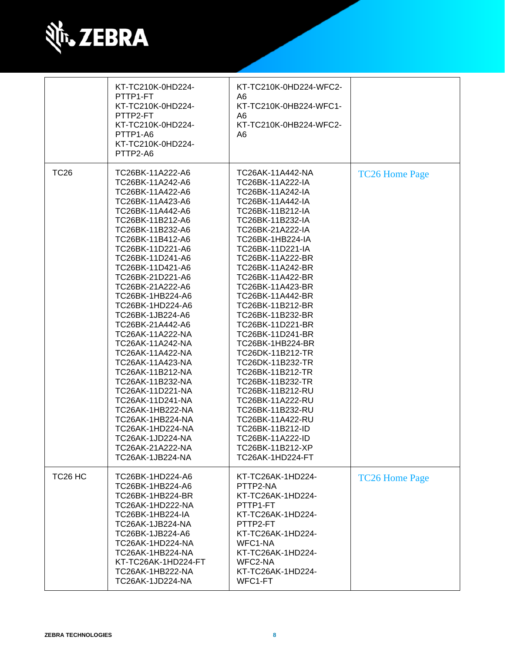

|                     | KT-TC210K-0HD224-<br>PTTP1-FT<br>KT-TC210K-0HD224-<br>PTTP2-FT<br>KT-TC210K-0HD224-<br>PTTP1-A6<br>KT-TC210K-0HD224-<br>PTTP2-A6                                                                                                                                                                                                                                                                                                                                                                                                                                                                                                         | KT-TC210K-0HD224-WFC2-<br>A6<br>KT-TC210K-0HB224-WFC1-<br>A6<br>KT-TC210K-0HB224-WFC2-<br>A <sub>6</sub>                                                                                                                                                                                                                                                                                                                                                                                                                                                                                                                                        |                       |
|---------------------|------------------------------------------------------------------------------------------------------------------------------------------------------------------------------------------------------------------------------------------------------------------------------------------------------------------------------------------------------------------------------------------------------------------------------------------------------------------------------------------------------------------------------------------------------------------------------------------------------------------------------------------|-------------------------------------------------------------------------------------------------------------------------------------------------------------------------------------------------------------------------------------------------------------------------------------------------------------------------------------------------------------------------------------------------------------------------------------------------------------------------------------------------------------------------------------------------------------------------------------------------------------------------------------------------|-----------------------|
| <b>TC26</b>         | TC26BK-11A222-A6<br>TC26BK-11A242-A6<br>TC26BK-11A422-A6<br>TC26BK-11A423-A6<br>TC26BK-11A442-A6<br>TC26BK-11B212-A6<br>TC26BK-11B232-A6<br>TC26BK-11B412-A6<br>TC26BK-11D221-A6<br>TC26BK-11D241-A6<br>TC26BK-11D421-A6<br>TC26BK-21D221-A6<br>TC26BK-21A222-A6<br>TC26BK-1HB224-A6<br>TC26BK-1HD224-A6<br>TC26BK-1JB224-A6<br>TC26BK-21A442-A6<br>TC26AK-11A222-NA<br>TC26AK-11A242-NA<br>TC26AK-11A422-NA<br>TC26AK-11A423-NA<br>TC26AK-11B212-NA<br>TC26AK-11B232-NA<br>TC26AK-11D221-NA<br>TC26AK-11D241-NA<br>TC26AK-1HB222-NA<br>TC26AK-1HB224-NA<br>TC26AK-1HD224-NA<br>TC26AK-1JD224-NA<br>TC26AK-21A222-NA<br>TC26AK-1JB224-NA | TC26AK-11A442-NA<br>TC26BK-11A222-IA<br>TC26BK-11A242-IA<br>TC26BK-11A442-IA<br>TC26BK-11B212-IA<br>TC26BK-11B232-IA<br>TC26BK-21A222-IA<br><b>TC26BK-1HB224-IA</b><br>TC26BK-11D221-IA<br>TC26BK-11A222-BR<br>TC26BK-11A242-BR<br>TC26BK-11A422-BR<br>TC26BK-11A423-BR<br>TC26BK-11A442-BR<br>TC26BK-11B212-BR<br>TC26BK-11B232-BR<br>TC26BK-11D221-BR<br>TC26BK-11D241-BR<br>TC26BK-1HB224-BR<br>TC26DK-11B212-TR<br>TC26DK-11B232-TR<br>TC26BK-11B212-TR<br>TC26BK-11B232-TR<br>TC26BK-11B212-RU<br>TC26BK-11A222-RU<br>TC26BK-11B232-RU<br>TC26BK-11A422-RU<br>TC26BK-11B212-ID<br>TC26BK-11A222-ID<br>TC26BK-11B212-XP<br>TC26AK-1HD224-FT | <b>TC26 Home Page</b> |
| TC <sub>26</sub> HC | TC26BK-1HD224-A6<br>TC26BK-1HB224-A6<br>TC26BK-1HB224-BR<br>TC26AK-1HD222-NA<br>TC26BK-1HB224-IA<br>TC26AK-1JB224-NA<br>TC26BK-1JB224-A6<br>TC26AK-1HD224-NA<br>TC26AK-1HB224-NA<br>KT-TC26AK-1HD224-FT<br>TC26AK-1HB222-NA<br>TC26AK-1JD224-NA                                                                                                                                                                                                                                                                                                                                                                                          | KT-TC26AK-1HD224-<br>PTTP2-NA<br>KT-TC26AK-1HD224-<br>PTTP1-FT<br>KT-TC26AK-1HD224-<br>PTTP2-FT<br>KT-TC26AK-1HD224-<br>WFC1-NA<br>KT-TC26AK-1HD224-<br>WFC2-NA<br>KT-TC26AK-1HD224-<br>WFC1-FT                                                                                                                                                                                                                                                                                                                                                                                                                                                 | <b>TC26 Home Page</b> |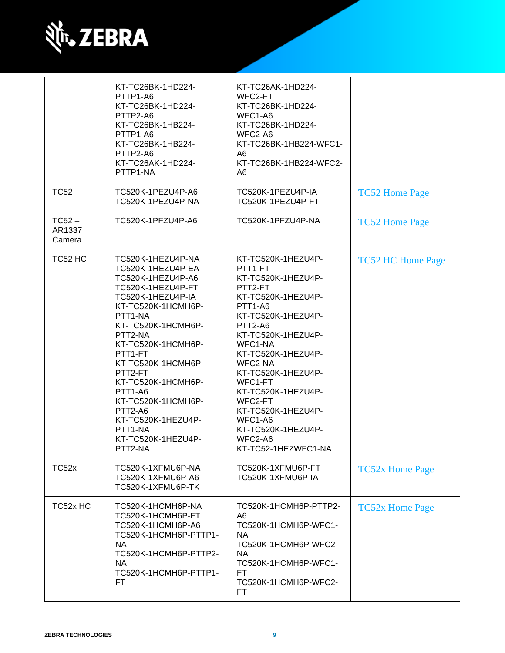

|                              | KT-TC26BK-1HD224-<br>PTTP1-A6<br>KT-TC26BK-1HD224-<br>PTTP2-A6<br>KT-TC26BK-1HB224-<br>PTTP1-A6<br>KT-TC26BK-1HB224-<br>PTTP2-A6<br>KT-TC26AK-1HD224-<br>PTTP1-NA                                                                                                                                                                                                             | KT-TC26AK-1HD224-<br>WFC2-FT<br>KT-TC26BK-1HD224-<br>WFC1-A6<br>KT-TC26BK-1HD224-<br>WFC2-A6<br>KT-TC26BK-1HB224-WFC1-<br>A6<br>KT-TC26BK-1HB224-WFC2-<br>A6                                                                                                                                                                                                         |                          |
|------------------------------|-------------------------------------------------------------------------------------------------------------------------------------------------------------------------------------------------------------------------------------------------------------------------------------------------------------------------------------------------------------------------------|----------------------------------------------------------------------------------------------------------------------------------------------------------------------------------------------------------------------------------------------------------------------------------------------------------------------------------------------------------------------|--------------------------|
| <b>TC52</b>                  | TC520K-1PEZU4P-A6<br>TC520K-1PEZU4P-NA                                                                                                                                                                                                                                                                                                                                        | TC520K-1PEZU4P-IA<br>TC520K-1PEZU4P-FT                                                                                                                                                                                                                                                                                                                               | <b>TC52 Home Page</b>    |
| $TC52 -$<br>AR1337<br>Camera | TC520K-1PFZU4P-A6                                                                                                                                                                                                                                                                                                                                                             | TC520K-1PFZU4P-NA                                                                                                                                                                                                                                                                                                                                                    | <b>TC52 Home Page</b>    |
| TC52 HC                      | TC520K-1HEZU4P-NA<br>TC520K-1HEZU4P-EA<br>TC520K-1HEZU4P-A6<br>TC520K-1HEZU4P-FT<br>TC520K-1HEZU4P-IA<br>KT-TC520K-1HCMH6P-<br>PTT1-NA<br>KT-TC520K-1HCMH6P-<br>PTT2-NA<br>KT-TC520K-1HCMH6P-<br>PTT1-FT<br>KT-TC520K-1HCMH6P-<br>PTT2-FT<br>KT-TC520K-1HCMH6P-<br>PTT1-A6<br>KT-TC520K-1HCMH6P-<br>PTT2-A6<br>KT-TC520K-1HEZU4P-<br>PTT1-NA<br>KT-TC520K-1HEZU4P-<br>PTT2-NA | KT-TC520K-1HEZU4P-<br>PTT1-FT<br>KT-TC520K-1HEZU4P-<br>PTT2-FT<br>KT-TC520K-1HEZU4P-<br><b>PTT1-A6</b><br>KT-TC520K-1HEZU4P-<br>PTT2-A6<br>KT-TC520K-1HEZU4P-<br>WFC1-NA<br>KT-TC520K-1HEZU4P-<br>WFC2-NA<br>KT-TC520K-1HEZU4P-<br>WFC1-FT<br>KT-TC520K-1HEZU4P-<br>WFC2-FT<br>KT-TC520K-1HEZU4P-<br>WFC1-A6<br>KT-TC520K-1HEZU4P-<br>WFC2-A6<br>KT-TC52-1HEZWFC1-NA | <b>TC52 HC Home Page</b> |
| TC52x                        | TC520K-1XFMU6P-NA<br>TC520K-1XFMU6P-A6<br>TC520K-1XFMU6P-TK                                                                                                                                                                                                                                                                                                                   | TC520K-1XFMU6P-FT<br>TC520K-1XFMU6P-IA                                                                                                                                                                                                                                                                                                                               | <b>TC52x Home Page</b>   |
| TC52x HC                     | TC520K-1HCMH6P-NA<br>TC520K-1HCMH6P-FT<br>TC520K-1HCMH6P-A6<br>TC520K-1HCMH6P-PTTP1-<br><b>NA</b><br>TC520K-1HCMH6P-PTTP2-<br><b>NA</b><br>TC520K-1HCMH6P-PTTP1-<br>FT.                                                                                                                                                                                                       | TC520K-1HCMH6P-PTTP2-<br>A6<br>TC520K-1HCMH6P-WFC1-<br><b>NA</b><br>TC520K-1HCMH6P-WFC2-<br><b>NA</b><br>TC520K-1HCMH6P-WFC1-<br>FT.<br>TC520K-1HCMH6P-WFC2-<br>FT.                                                                                                                                                                                                  | <b>TC52x Home Page</b>   |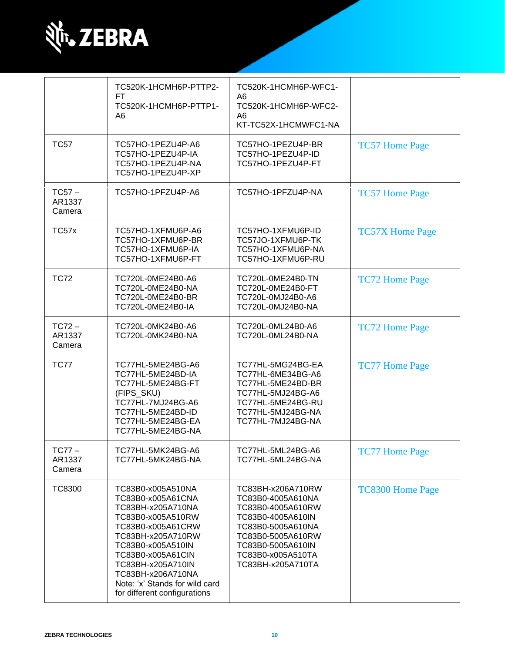

|                              | TC520K-1HCMH6P-PTTP2-                                                                                                                                                                                                                                                            | TC520K-1HCMH6P-WFC1-                                                                                                                                                                      |                         |
|------------------------------|----------------------------------------------------------------------------------------------------------------------------------------------------------------------------------------------------------------------------------------------------------------------------------|-------------------------------------------------------------------------------------------------------------------------------------------------------------------------------------------|-------------------------|
|                              | FT.<br>TC520K-1HCMH6P-PTTP1-<br>A6                                                                                                                                                                                                                                               | A6<br>TC520K-1HCMH6P-WFC2-<br>A6                                                                                                                                                          |                         |
|                              |                                                                                                                                                                                                                                                                                  | KT-TC52X-1HCMWFC1-NA                                                                                                                                                                      |                         |
| <b>TC57</b>                  | TC57HO-1PEZU4P-A6<br>TC57HO-1PEZU4P-IA<br>TC57HO-1PEZU4P-NA<br>TC57HO-1PEZU4P-XP                                                                                                                                                                                                 | TC57HO-1PEZU4P-BR<br>TC57HO-1PEZU4P-ID<br>TC57HO-1PEZU4P-FT                                                                                                                               | <b>TC57 Home Page</b>   |
| $TC57 -$<br>AR1337<br>Camera | TC57HO-1PFZU4P-A6                                                                                                                                                                                                                                                                | TC57HO-1PFZU4P-NA                                                                                                                                                                         | <b>TC57 Home Page</b>   |
| TC57x                        | TC57HO-1XFMU6P-A6<br>TC57HO-1XFMU6P-BR<br>TC57HO-1XFMU6P-IA<br>TC57HO-1XFMU6P-FT                                                                                                                                                                                                 | TC57HO-1XFMU6P-ID<br>TC57JO-1XFMU6P-TK<br>TC57HO-1XFMU6P-NA<br>TC57HO-1XFMU6P-RU                                                                                                          | <b>TC57X Home Page</b>  |
| <b>TC72</b>                  | TC720L-0ME24B0-A6<br>TC720L-0ME24B0-NA<br>TC720L-0ME24B0-BR<br>TC720L-0ME24B0-IA                                                                                                                                                                                                 | TC720L-0ME24B0-TN<br>TC720L-0ME24B0-FT<br>TC720L-0MJ24B0-A6<br>TC720L-0MJ24B0-NA                                                                                                          | <b>TC72 Home Page</b>   |
| $TC72 -$<br>AR1337<br>Camera | TC720L-0MK24B0-A6<br>TC720L-0MK24B0-NA                                                                                                                                                                                                                                           | TC720L-0ML24B0-A6<br>TC720L-0ML24B0-NA                                                                                                                                                    | <b>TC72 Home Page</b>   |
| <b>TC77</b>                  | TC77HL-5ME24BG-A6<br>TC77HL-5ME24BD-IA<br>TC77HL-5ME24BG-FT<br>(FIPS_SKU)<br>TC77HL-7MJ24BG-A6<br>TC77HL-5ME24BD-ID<br>TC77HL-5ME24BG-EA<br>TC77HL-5ME24BG-NA                                                                                                                    | TC77HL-5MG24BG-EA<br>TC77HL-6ME34BG-A6<br>TC77HL-5ME24BD-BR<br>TC77HL-5MJ24BG-A6<br>TC77HL-5ME24BG-RU<br>TC77HL-5MJ24BG-NA<br>TC77HL-7MJ24BG-NA                                           | <b>TC77 Home Page</b>   |
| $TC77-$<br>AR1337<br>Camera  | TC77HL-5MK24BG-A6<br>TC77HL-5MK24BG-NA                                                                                                                                                                                                                                           | TC77HL-5ML24BG-A6<br>TC77HL-5ML24BG-NA                                                                                                                                                    | <b>TC77 Home Page</b>   |
| <b>TC8300</b>                | TC83B0-x005A510NA<br>TC83B0-x005A61CNA<br>TC83BH-x205A710NA<br>TC83B0-x005A510RW<br>TC83B0-x005A61CRW<br>TC83BH-x205A710RW<br>TC83B0-x005A510IN<br>TC83B0-x005A61CIN<br>TC83BH-x205A710IN<br>TC83BH-x206A710NA<br>Note: 'x' Stands for wild card<br>for different configurations | TC83BH-x206A710RW<br>TC83B0-4005A610NA<br>TC83B0-4005A610RW<br>TC83B0-4005A610IN<br>TC83B0-5005A610NA<br>TC83B0-5005A610RW<br>TC83B0-5005A610IN<br>TC83B0-x005A510TA<br>TC83BH-x205A710TA | <b>TC8300 Home Page</b> |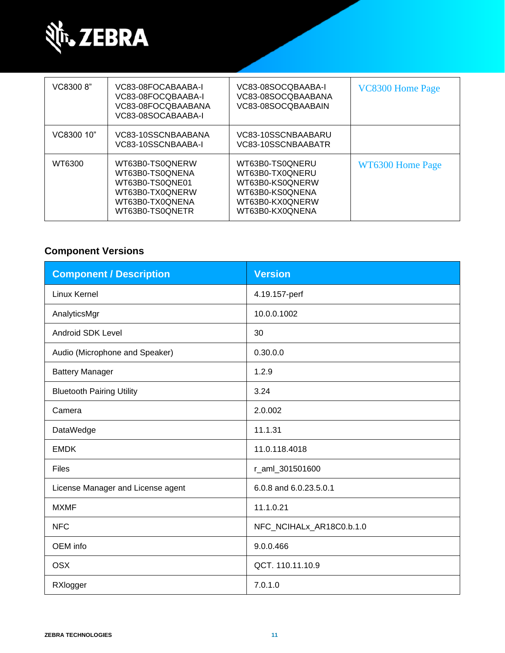

| VC8300 8"  | VC83-08FOCABAABA-I<br>VC83-08FOCQBAABA-I<br>VC83-08FOCQBAABANA<br>VC83-08SOCABAABA-I                           | VC83-08SOCQBAABA-I<br>VC83-08SOCQBAABANA<br>VC83-08SOCQBAABAIN                                                 | VC8300 Home Page |
|------------|----------------------------------------------------------------------------------------------------------------|----------------------------------------------------------------------------------------------------------------|------------------|
| VC8300 10" | VC83-10SSCNBAABANA<br>VC83-10SSCNBAABA-I                                                                       | VC83-10SSCNBAABARU<br>VC83-10SSCNBAABATR                                                                       |                  |
| WT6300     | WT63B0-TS0QNERW<br>WT63B0-TS0QNENA<br>WT63B0-TS0QNE01<br>WT63B0-TX0QNERW<br>WT63B0-TX0QNENA<br>WT63B0-TS0QNETR | WT63B0-TS0QNERU<br>WT63B0-TX0QNERU<br>WT63B0-KS0QNERW<br>WT63B0-KS0QNENA<br>WT63B0-KX0QNERW<br>WT63B0-KX0ONENA | WT6300 Home Page |

### **Component Versions**

| <b>Component / Description</b>    | <b>Version</b>           |
|-----------------------------------|--------------------------|
| Linux Kernel                      | 4.19.157-perf            |
| AnalyticsMgr                      | 10.0.0.1002              |
| <b>Android SDK Level</b>          | 30                       |
| Audio (Microphone and Speaker)    | 0.30.0.0                 |
| <b>Battery Manager</b>            | 1.2.9                    |
| <b>Bluetooth Pairing Utility</b>  | 3.24                     |
| Camera                            | 2.0.002                  |
| DataWedge                         | 11.1.31                  |
| <b>EMDK</b>                       | 11.0.118.4018            |
| <b>Files</b>                      | r_aml_301501600          |
| License Manager and License agent | 6.0.8 and 6.0.23.5.0.1   |
| <b>MXMF</b>                       | 11.1.0.21                |
| <b>NFC</b>                        | NFC_NCIHALx_AR18C0.b.1.0 |
| OEM info                          | 9.0.0.466                |
| <b>OSX</b>                        | QCT. 110.11.10.9         |
| RXlogger                          | 7.0.1.0                  |